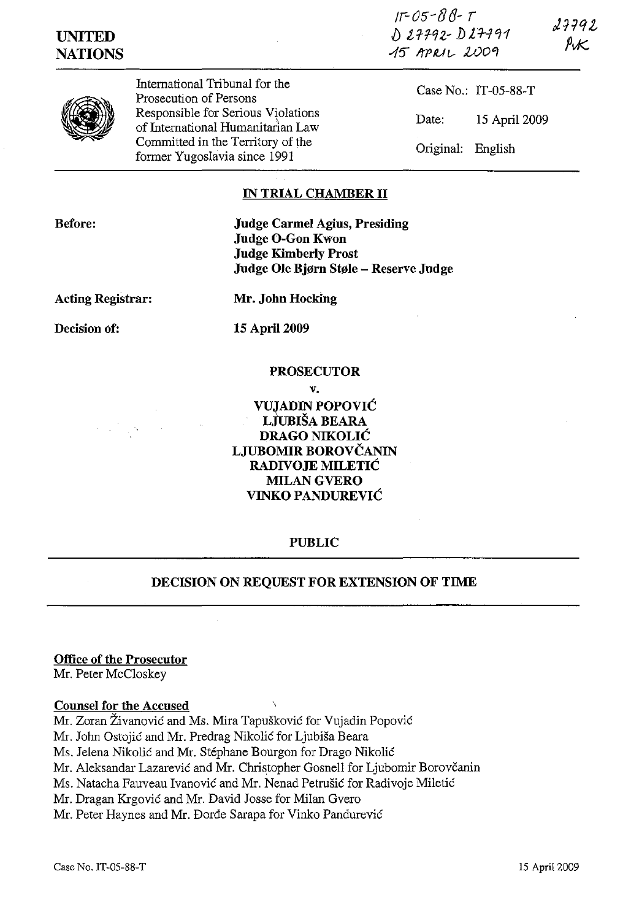| D 27792-D27791<br>UNITED<br>15 APRIL 2009<br><b>NATIONS</b>                                       | P |
|---------------------------------------------------------------------------------------------------|---|
| International Tribunal for the<br>Case No.: IT-05-88-T<br>Prosecution of Persons                  |   |
| Responsible for Serious Violations<br>Date:<br>15 April 2009<br>of International Humanitarian Law |   |
| Committed in the Territory of the<br>Original:<br>English<br>former Yugoslavia since 1991         |   |

# **IN TRIAL CHAMBER II**

**Before:** 

**Judge Carmel Agius, Presiding Judge O-Gon Kwon Judge Kimberly Prost Judge Ole Bjørn Støle – Reserve Judge** 

**Acting Registrar:** 

**Mr. John Hocking** 

**Decision of:** 

**15 April 2009** 

#### **PROSECUTOR**

**v.** 

**VUJADIN POPOVIC LJuBISA BEARA DRAGO NIKOLIC LJUBOMIR BOROVCANIN RADIVOJE MILETIC**  MILAN GVERO **VINKO PANDUREVIC** 

## **PUBLIC**

## **DECISION ON REQUEST FOR EXTENSION OF TIME**

### **Office of the Prosecutor**

Mr. Peter McCloskey

### **Counsel for the Accused**

Mr. Zoran Živanović and Ms. Mira Tapušković for Vujadin Popović

Mr. John Ostojic and Mr. Predrag Nikolic for Ljubisa Beara

Ms. Jelena Nikolic and Mr. Stephane Bourgon for Drago Nikolic

Mr. Aleksandar Lazarević and Mr. Christopher Gosnell for Ljubomir Borovčanin

Ms. Natacha Fauveau Ivanovic and Mr. Nenad Petrusic for Radivoje Miletic

Mr. Dragan Krgovic and Mr. David Josse for Milan Gvero

Mr. Peter Haynes and Mr. Borde Sarapa for Vinko Pandurevic